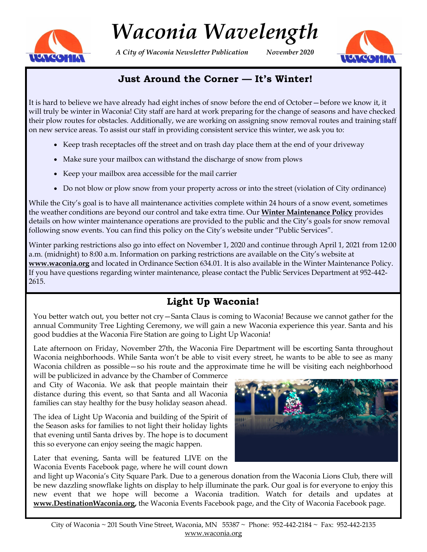

# *Waconia Wavelength*

*A City of Waconia Newsletter Publication November 2020*



# **Just Around the Corner — It's Winter!**

It is hard to believe we have already had eight inches of snow before the end of October—before we know it, it will truly be winter in Waconia! City staff are hard at work preparing for the change of seasons and have checked their plow routes for obstacles. Additionally, we are working on assigning snow removal routes and training staff on new service areas. To assist our staff in providing consistent service this winter, we ask you to:

- Keep trash receptacles off the street and on trash day place them at the end of your driveway
- Make sure your mailbox can withstand the discharge of snow from plows
- Keep your mailbox area accessible for the mail carrier
- Do not blow or plow snow from your property across or into the street (violation of City ordinance)

While the City's goal is to have all maintenance activities complete within 24 hours of a snow event, sometimes the weather conditions are beyond our control and take extra time. Our **Winter Maintenance Policy** provides details on how winter maintenance operations are provided to the public and the City's goals for snow removal following snow events. You can find this policy on the City's website under "Public Services".

Winter parking restrictions also go into effect on November 1, 2020 and continue through April 1, 2021 from 12:00 a.m. (midnight) to 8:00 a.m. Information on parking restrictions are available on the City's website at **www.waconia.org** and located in Ordinance Section 634.01. It is also available in the Winter Maintenance Policy. If you have questions regarding winter maintenance, please contact the Public Services Department at 952-442- 2615.

# **Light Up Waconia!**

You better watch out, you better not cry—Santa Claus is coming to Waconia! Because we cannot gather for the annual Community Tree Lighting Ceremony, we will gain a new Waconia experience this year. Santa and his good buddies at the Waconia Fire Station are going to Light Up Waconia!

Late afternoon on Friday, November 27th, the Waconia Fire Department will be escorting Santa throughout Waconia neighborhoods. While Santa won't be able to visit every street, he wants to be able to see as many Waconia children as possible — so his route and the approximate time he will be visiting each neighborhood

will be publicized in advance by the Chamber of Commerce and City of Waconia. We ask that people maintain their distance during this event, so that Santa and all Waconia families can stay healthy for the busy holiday season ahead.

The idea of Light Up Waconia and building of the Spirit of the Season asks for families to not light their holiday lights that evening until Santa drives by. The hope is to document this so everyone can enjoy seeing the magic happen.

Later that evening, Santa will be featured LIVE on the Waconia Events Facebook page, where he will count down

and light up Waconia's City Square Park. Due to a generous donation from the Waconia Lions Club, there will be new dazzling snowflake lights on display to help illuminate the park. Our goal is for everyone to enjoy this new event that we hope will become a Waconia tradition. Watch for details and updates at **www.DestinationWaconia.org,** the Waconia Events Facebook page, and the City of Waconia Facebook page.